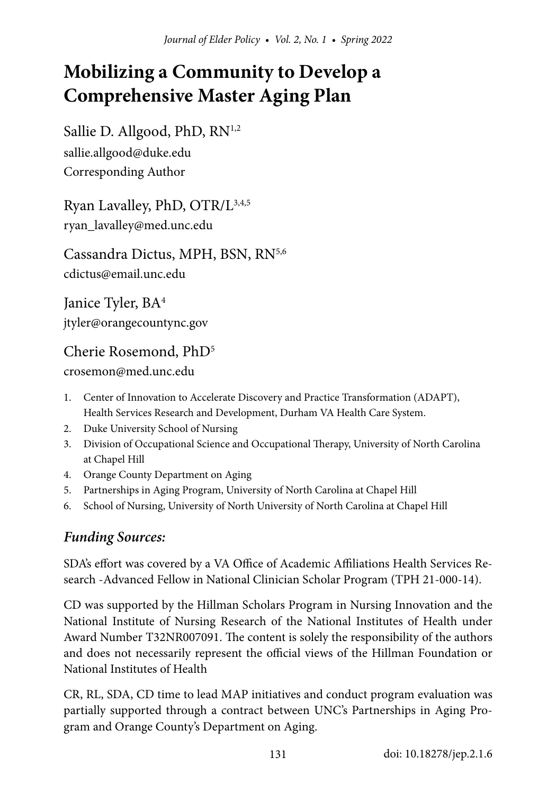# **Mobilizing a Community to Develop a Comprehensive Master Aging Plan**

Sallie D. Allgood, PhD, RN<sup>1,2</sup> sallie.allgood@duke.edu Corresponding Author

Ryan Lavalley, PhD, OTR/L3,4,5 ryan\_lavalley@med.unc.edu

Cassandra Dictus, MPH, BSN, RN<sup>5,6</sup> cdictus@email.unc.edu

Janice Tyler, BA<sup>4</sup> jtyler@orangecountync.gov

### Cherie Rosemond, PhD5

crosemon@med.unc.edu

- 1. Center of Innovation to Accelerate Discovery and Practice Transformation (ADAPT), Health Services Research and Development, Durham VA Health Care System.
- 2. Duke University School of Nursing
- 3. Division of Occupational Science and Occupational Therapy, University of North Carolina at Chapel Hill
- 4. Orange County Department on Aging
- 5. Partnerships in Aging Program, University of North Carolina at Chapel Hill
- 6. School of Nursing, University of North University of North Carolina at Chapel Hill

## *Funding Sources:*

SDA's effort was covered by a VA Office of Academic Affiliations Health Services Research -Advanced Fellow in National Clinician Scholar Program (TPH 21-000-14).

CD was supported by the Hillman Scholars Program in Nursing Innovation and the National Institute of Nursing Research of the National Institutes of Health under Award Number T32NR007091. The content is solely the responsibility of the authors and does not necessarily represent the official views of the Hillman Foundation or National Institutes of Health

CR, RL, SDA, CD time to lead MAP initiatives and conduct program evaluation was partially supported through a contract between UNC's Partnerships in Aging Program and Orange County's Department on Aging.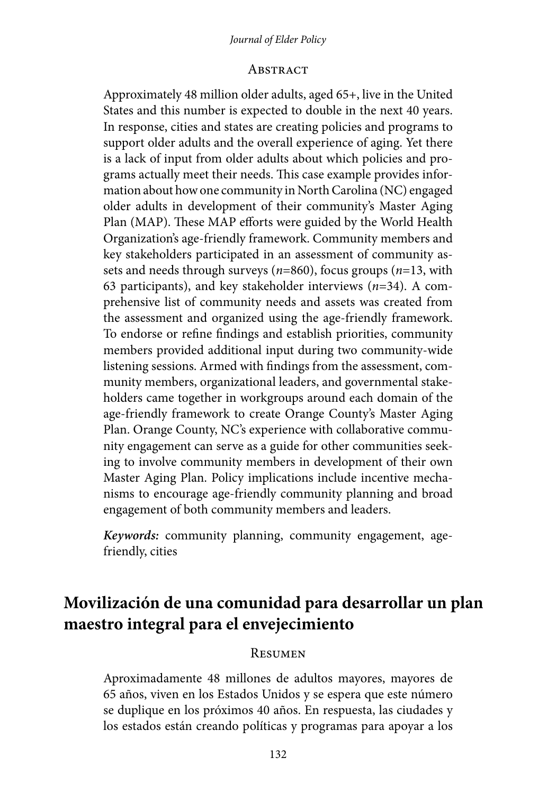#### *Journal of Elder Policy*

#### **ABSTRACT**

Approximately 48 million older adults, aged 65+, live in the United States and this number is expected to double in the next 40 years. In response, cities and states are creating policies and programs to support older adults and the overall experience of aging. Yet there is a lack of input from older adults about which policies and programs actually meet their needs. This case example provides information about how one community in North Carolina (NC) engaged older adults in development of their community's Master Aging Plan (MAP). These MAP efforts were guided by the World Health Organization's age-friendly framework. Community members and key stakeholders participated in an assessment of community assets and needs through surveys (*n*=860), focus groups (*n*=13, with 63 participants), and key stakeholder interviews (*n*=34). A comprehensive list of community needs and assets was created from the assessment and organized using the age-friendly framework. To endorse or refine findings and establish priorities, community members provided additional input during two community-wide listening sessions. Armed with findings from the assessment, community members, organizational leaders, and governmental stakeholders came together in workgroups around each domain of the age-friendly framework to create Orange County's Master Aging Plan. Orange County, NC's experience with collaborative community engagement can serve as a guide for other communities seeking to involve community members in development of their own Master Aging Plan. Policy implications include incentive mechanisms to encourage age-friendly community planning and broad engagement of both community members and leaders.

*Keywords:* community planning, community engagement, agefriendly, cities

## **Movilización de una comunidad para desarrollar un plan maestro integral para el envejecimiento**

#### **RESUMEN**

Aproximadamente 48 millones de adultos mayores, mayores de 65 años, viven en los Estados Unidos y se espera que este número se duplique en los próximos 40 años. En respuesta, las ciudades y los estados están creando políticas y programas para apoyar a los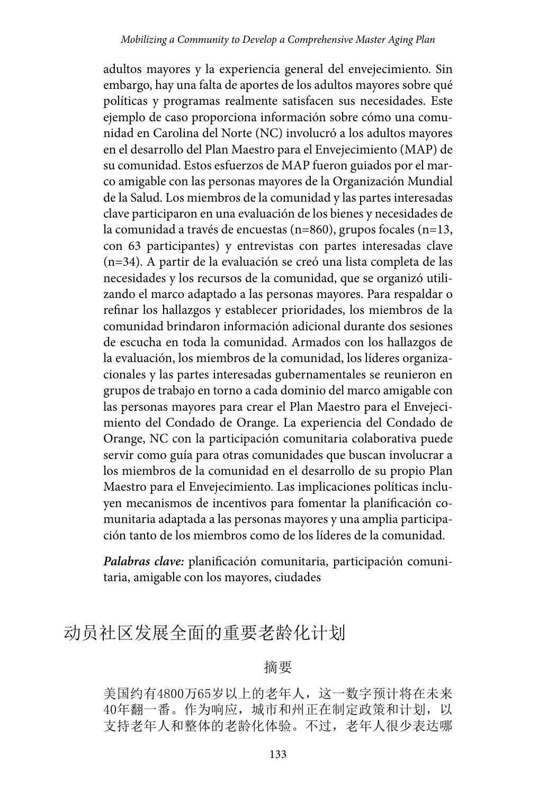adultos mayores y la experiencia general del envejecimiento. Sin embargo, hay una falta de aportes de los adultos mayores sobre qué políticas y programas realmente satisfacen sus necesidades. Este ejemplo de caso proporciona información sobre cómo una comunidad en Carolina del Norte (NC) involucró a los adultos mayores en el desarrollo del Plan Maestro para el Envejecimiento (MAP) de su comunidad. Estos esfuerzos de MAP fueron guiados por el marco amigable con las personas mayores de la Organización Mundial de la Salud. Los miembros de la comunidad y las partes interesadas clave participaron en una evaluación de los bienes y necesidades de la comunidad a través de encuestas (n=860), grupos focales (n=13, con 63 participantes) y entrevistas con partes interesadas clave (n=34). A partir de la evaluación se creó una lista completa de las necesidades y los recursos de la comunidad, que se organizó utilizando el marco adaptado a las personas mayores. Para respaldar o refinar los hallazgos y establecer prioridades, los miembros de la comunidad brindaron información adicional durante dos sesiones de escucha en toda la comunidad. Armados con los hallazgos de la evaluación, los miembros de la comunidad, los líderes organizacionales y las partes interesadas gubernamentales se reunieron en grupos de trabajo en torno a cada dominio del marco amigable con las personas mayores para crear el Plan Maestro para el Envejecimiento del Condado de Orange. La experiencia del Condado de Orange, NC con la participación comunitaria colaborativa puede servir como guía para otras comunidades que buscan involucrar a los miembros de la comunidad en el desarrollo de su propio Plan Maestro para el Envejecimiento. Las implicaciones políticas incluyen mecanismos de incentivos para fomentar la planificación comunitaria adaptada a las personas mayores y una amplia participación tanto de los miembros como de los líderes de la comunidad.

*Palabras clave:* planificación comunitaria, participación comunitaria, amigable con los mayores, ciudades

## 动员社区发展全面的重要老龄化计划

#### 摘要

美国约有4800万65岁以上的老年人,这一数字预计将在未来 40年翻一番。作为响应,城市和州正在制定政策和计划,以 支持老年人和整体的老龄化体验。不过,老年人很少表达哪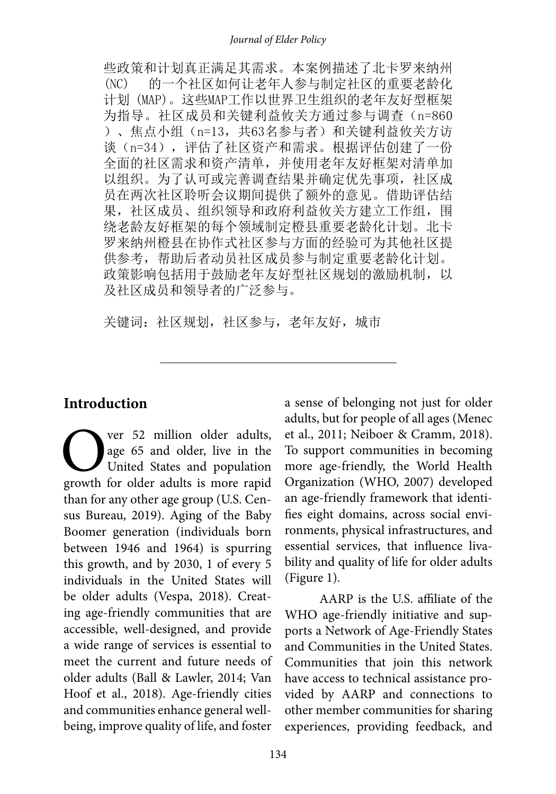些政策和计划真正满足其需求。本案例描述了北卡罗来纳州 (NC) 的一个社区如何让老年人参与制定社区的重要老龄化 计划 (MAP)。这些MAP工作以世界卫生组织的老年友好型框架 为指导。社区成员和关键利益攸关方通过参与调查 (n=860 )、焦点小组(n=13,共63名参与者)和关键利益攸关方访 谈(n=34),评估了社区资产和需求。根据评估创建了一份 全面的社区需求和资产清单,并使用老年友好框架对清单加 以组织。为了认可或完善调查结果并确定优先事项, 社区成 员在两次社区聆听会议期间提供了额外的意见。借助评估结 果,社区成员、组织领导和政府利益攸关方建立工作组,围 绕老龄友好框架的每个领域制定橙县重要老龄化计划。北卡 罗来纳州橙县在协作式社区参与方面的经验可为其他社区提 供参考,帮助后者动员社区成员参与制定重要老龄化计划。 政策影响包括用于鼓励老年友好型社区规划的激励机制,以 及社区成员和领导者的广泛参与。

关键词:社区规划,社区参与,老年友好,城市

#### **Introduction**

Ver 52 million older adults,<br>age 65 and older, live in the<br>United States and population<br>growth for older adults is more rapid age 65 and older, live in the United States and population growth for older adults is more rapid than for any other age group (U.S. Census Bureau, 2019). Aging of the Baby Boomer generation (individuals born between 1946 and 1964) is spurring this growth, and by 2030, 1 of every 5 individuals in the United States will be older adults (Vespa, 2018). Creating age-friendly communities that are accessible, well-designed, and provide a wide range of services is essential to meet the current and future needs of older adults (Ball & Lawler, 2014; Van Hoof et al., 2018). Age-friendly cities and communities enhance general wellbeing, improve quality of life, and foster

a sense of belonging not just for older adults, but for people of all ages (Menec et al., 2011; Neiboer & Cramm, 2018). To support communities in becoming more age-friendly, the World Health Organization (WHO, 2007) developed an age-friendly framework that identifies eight domains, across social environments, physical infrastructures, and essential services, that influence livability and quality of life for older adults (Figure 1).

AARP is the U.S. affiliate of the WHO age-friendly initiative and supports a Network of Age-Friendly States and Communities in the United States. Communities that join this network have access to technical assistance provided by AARP and connections to other member communities for sharing experiences, providing feedback, and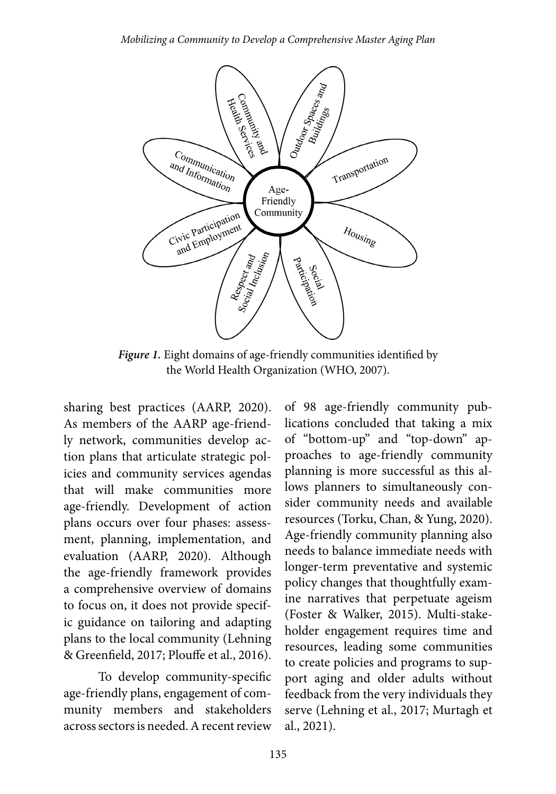

*Figure 1.* Eight domains of age-friendly communities identified by the World Health Organization (WHO, 2007).

sharing best practices (AARP, 2020). As members of the AARP age-friendly network, communities develop action plans that articulate strategic policies and community services agendas that will make communities more age-friendly. Development of action plans occurs over four phases: assessment, planning, implementation, and evaluation (AARP, 2020). Although the age-friendly framework provides a comprehensive overview of domains to focus on, it does not provide specific guidance on tailoring and adapting plans to the local community (Lehning & Greenfield, 2017; Plouffe et al., 2016).

To develop community-specific age-friendly plans, engagement of community members and stakeholders across sectors is needed. A recent review

of 98 age-friendly community publications concluded that taking a mix of "bottom-up" and "top-down" approaches to age-friendly community planning is more successful as this allows planners to simultaneously consider community needs and available resources (Torku, Chan, & Yung, 2020). Age-friendly community planning also needs to balance immediate needs with longer-term preventative and systemic policy changes that thoughtfully examine narratives that perpetuate ageism (Foster & Walker, 2015). Multi-stakeholder engagement requires time and resources, leading some communities to create policies and programs to support aging and older adults without feedback from the very individuals they serve (Lehning et al., 2017; Murtagh et al., 2021).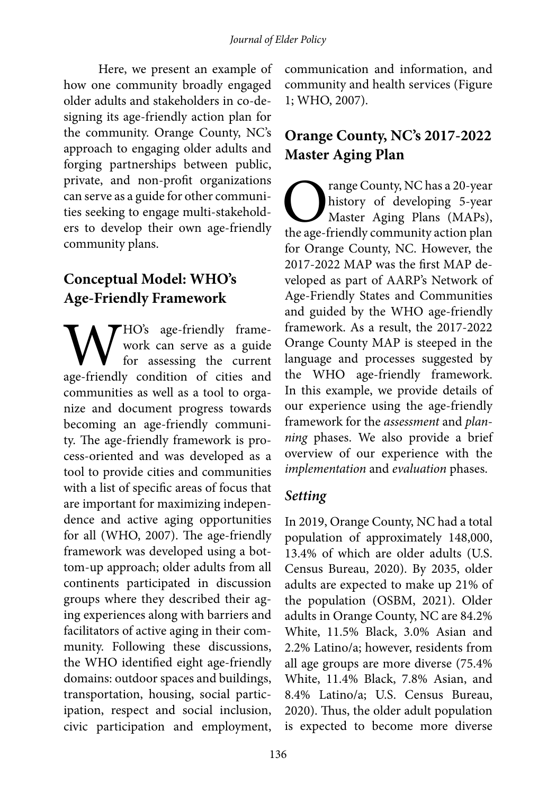Here, we present an example of how one community broadly engaged older adults and stakeholders in co-designing its age-friendly action plan for the community. Orange County, NC's approach to engaging older adults and forging partnerships between public, private, and non-profit organizations can serve as a guide for other communities seeking to engage multi-stakeholders to develop their own age-friendly community plans.

## **Conceptual Model: WHO's Age-Friendly Framework**

WHO's age-friendly frame-<br>work can serve as a guide<br>for assessing the current<br>age-friendly condition of cities and work can serve as a guide for assessing the current communities as well as a tool to organize and document progress towards becoming an age-friendly community. The age-friendly framework is process-oriented and was developed as a tool to provide cities and communities with a list of specific areas of focus that are important for maximizing independence and active aging opportunities for all (WHO, 2007). The age-friendly framework was developed using a bottom-up approach; older adults from all continents participated in discussion groups where they described their aging experiences along with barriers and facilitators of active aging in their community. Following these discussions, the WHO identified eight age-friendly domains: outdoor spaces and buildings, transportation, housing, social participation, respect and social inclusion, civic participation and employment,

communication and information, and community and health services (Figure 1; WHO, 2007).

## **Orange County, NC's 2017-2022 Master Aging Plan**

Trange County, NC has a 20-year<br>history of developing 5-year<br>Master Aging Plans (MAPs),<br>the age-friendly community action plan history of developing 5-year Master Aging Plans (MAPs), the age-friendly community action plan for Orange County, NC. However, the 2017-2022 MAP was the first MAP developed as part of AARP's Network of Age-Friendly States and Communities and guided by the WHO age-friendly framework. As a result, the 2017-2022 Orange County MAP is steeped in the language and processes suggested by the WHO age-friendly framework. In this example, we provide details of our experience using the age-friendly framework for the *assessment* and *planning* phases. We also provide a brief overview of our experience with the *implementation* and *evaluation* phases.

#### *Setting*

In 2019, Orange County, NC had a total population of approximately 148,000, 13.4% of which are older adults (U.S. Census Bureau, 2020). By 2035, older adults are expected to make up 21% of the population (OSBM, 2021). Older adults in Orange County, NC are 84.2% White, 11.5% Black, 3.0% Asian and 2.2% Latino/a; however, residents from all age groups are more diverse (75.4% White, 11.4% Black, 7.8% Asian, and 8.4% Latino/a; U.S. Census Bureau, 2020). Thus, the older adult population is expected to become more diverse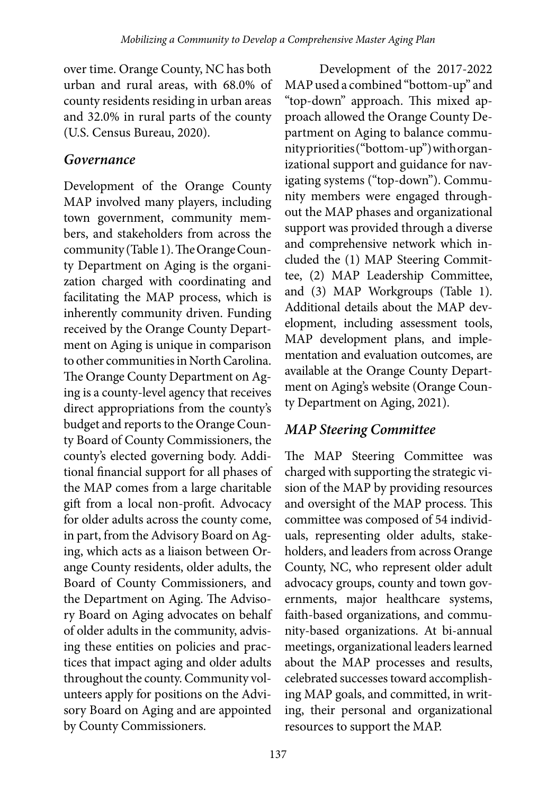over time. Orange County, NC has both urban and rural areas, with 68.0% of county residents residing in urban areas and 32.0% in rural parts of the county (U.S. Census Bureau, 2020).

#### *Governance*

Development of the Orange County MAP involved many players, including town government, community members, and stakeholders from across the community (Table 1). The Orange County Department on Aging is the organization charged with coordinating and facilitating the MAP process, which is inherently community driven. Funding received by the Orange County Department on Aging is unique in comparison to other communities in North Carolina. The Orange County Department on Aging is a county-level agency that receives direct appropriations from the county's budget and reports to the Orange County Board of County Commissioners, the county's elected governing body. Additional financial support for all phases of the MAP comes from a large charitable gift from a local non-profit. Advocacy for older adults across the county come, in part, from the Advisory Board on Aging, which acts as a liaison between Orange County residents, older adults, the Board of County Commissioners, and the Department on Aging. The Advisory Board on Aging advocates on behalf of older adults in the community, advising these entities on policies and practices that impact aging and older adults throughout the county. Community volunteers apply for positions on the Advisory Board on Aging and are appointed by County Commissioners.

Development of the 2017-2022 MAP used a combined "bottom-up" and "top-down" approach. This mixed approach allowed the Orange County Department on Aging to balance community priorities ("bottom-up") with organizational support and guidance for navigating systems ("top-down"). Community members were engaged throughout the MAP phases and organizational support was provided through a diverse and comprehensive network which included the (1) MAP Steering Committee, (2) MAP Leadership Committee, and (3) MAP Workgroups (Table 1). Additional details about the MAP development, including assessment tools, MAP development plans, and implementation and evaluation outcomes, are available at the Orange County Department on Aging's website (Orange County Department on Aging, 2021).

### *MAP Steering Committee*

The MAP Steering Committee was charged with supporting the strategic vision of the MAP by providing resources and oversight of the MAP process. This committee was composed of 54 individuals, representing older adults, stakeholders, and leaders from across Orange County, NC, who represent older adult advocacy groups, county and town governments, major healthcare systems, faith-based organizations, and community-based organizations. At bi-annual meetings, organizational leaders learned about the MAP processes and results, celebrated successes toward accomplishing MAP goals, and committed, in writing, their personal and organizational resources to support the MAP.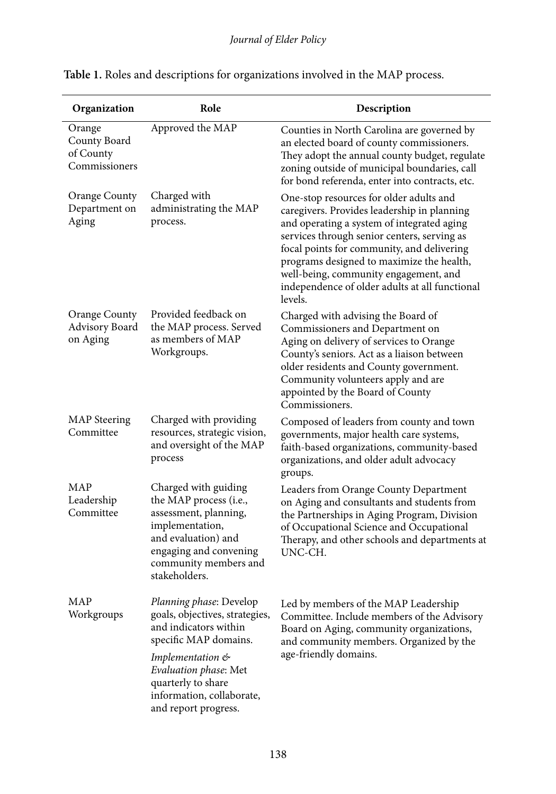| Organization                                         | Role                                                                                                                                                                                  | Description                                                                                                                                                                                                                                                                                                                                                                          |
|------------------------------------------------------|---------------------------------------------------------------------------------------------------------------------------------------------------------------------------------------|--------------------------------------------------------------------------------------------------------------------------------------------------------------------------------------------------------------------------------------------------------------------------------------------------------------------------------------------------------------------------------------|
| Orange<br>County Board<br>of County<br>Commissioners | Approved the MAP                                                                                                                                                                      | Counties in North Carolina are governed by<br>an elected board of county commissioners.<br>They adopt the annual county budget, regulate<br>zoning outside of municipal boundaries, call<br>for bond referenda, enter into contracts, etc.                                                                                                                                           |
| Orange County<br>Department on<br>Aging              | Charged with<br>administrating the MAP<br>process.                                                                                                                                    | One-stop resources for older adults and<br>caregivers. Provides leadership in planning<br>and operating a system of integrated aging<br>services through senior centers, serving as<br>focal points for community, and delivering<br>programs designed to maximize the health,<br>well-being, community engagement, and<br>independence of older adults at all functional<br>levels. |
| Orange County<br>Advisory Board<br>on Aging          | Provided feedback on<br>the MAP process. Served<br>as members of MAP<br>Workgroups.                                                                                                   | Charged with advising the Board of<br>Commissioners and Department on<br>Aging on delivery of services to Orange<br>County's seniors. Act as a liaison between<br>older residents and County government.<br>Community volunteers apply and are<br>appointed by the Board of County<br>Commissioners.                                                                                 |
| <b>MAP</b> Steering<br>Committee                     | Charged with providing<br>resources, strategic vision,<br>and oversight of the MAP<br>process                                                                                         | Composed of leaders from county and town<br>governments, major health care systems,<br>faith-based organizations, community-based<br>organizations, and older adult advocacy<br>groups.                                                                                                                                                                                              |
| MAP<br>Leadership<br>Committee                       | Charged with guiding<br>the MAP process (i.e.,<br>assessment, planning,<br>implementation,<br>and evaluation) and<br>engaging and convening<br>community members and<br>stakeholders. | Leaders from Orange County Department<br>on Aging and consultants and students from<br>the Partnerships in Aging Program, Division<br>of Occupational Science and Occupational<br>Therapy, and other schools and departments at<br>UNC-CH.                                                                                                                                           |
| MAP<br>Workgroups                                    | Planning phase: Develop<br>goals, objectives, strategies,<br>and indicators within<br>specific MAP domains.                                                                           | Led by members of the MAP Leadership<br>Committee. Include members of the Advisory<br>Board on Aging, community organizations,<br>and community members. Organized by the                                                                                                                                                                                                            |
|                                                      | Implementation &<br>Evaluation phase: Met<br>quarterly to share<br>information, collaborate,<br>and report progress.                                                                  | age-friendly domains.                                                                                                                                                                                                                                                                                                                                                                |

#### **Table 1.** Roles and descriptions for organizations involved in the MAP process.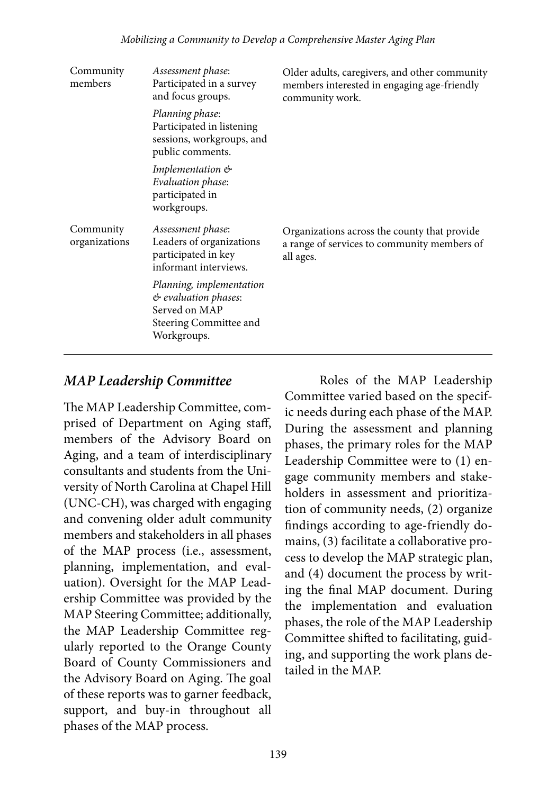| Community<br>members       | Assessment phase:<br>Participated in a survey<br>and focus groups.                                         | Older adults, caregivers, and other community<br>members interested in engaging age-friendly<br>community work. |
|----------------------------|------------------------------------------------------------------------------------------------------------|-----------------------------------------------------------------------------------------------------------------|
|                            | Planning phase:<br>Participated in listening<br>sessions, workgroups, and<br>public comments.              |                                                                                                                 |
|                            | <i>Implementation</i> &<br>Evaluation phase:<br>participated in<br>workgroups.                             |                                                                                                                 |
| Community<br>organizations | Assessment phase:<br>Leaders of organizations<br>participated in key<br>informant interviews.              | Organizations across the county that provide<br>a range of services to community members of<br>all ages.        |
|                            | Planning, implementation<br>& evaluation phases:<br>Served on MAP<br>Steering Committee and<br>Workgroups. |                                                                                                                 |

#### *MAP Leadership Committee*

The MAP Leadership Committee, comprised of Department on Aging staff, members of the Advisory Board on Aging, and a team of interdisciplinary consultants and students from the University of North Carolina at Chapel Hill (UNC-CH), was charged with engaging and convening older adult community members and stakeholders in all phases of the MAP process (i.e., assessment, planning, implementation, and evaluation). Oversight for the MAP Leadership Committee was provided by the MAP Steering Committee; additionally, the MAP Leadership Committee regularly reported to the Orange County Board of County Commissioners and the Advisory Board on Aging. The goal of these reports was to garner feedback, support, and buy-in throughout all phases of the MAP process.

Roles of the MAP Leadership Committee varied based on the specific needs during each phase of the MAP. During the assessment and planning phases, the primary roles for the MAP Leadership Committee were to (1) engage community members and stakeholders in assessment and prioritization of community needs, (2) organize findings according to age-friendly domains, (3) facilitate a collaborative process to develop the MAP strategic plan, and (4) document the process by writing the final MAP document. During the implementation and evaluation phases, the role of the MAP Leadership Committee shifted to facilitating, guiding, and supporting the work plans detailed in the MAP.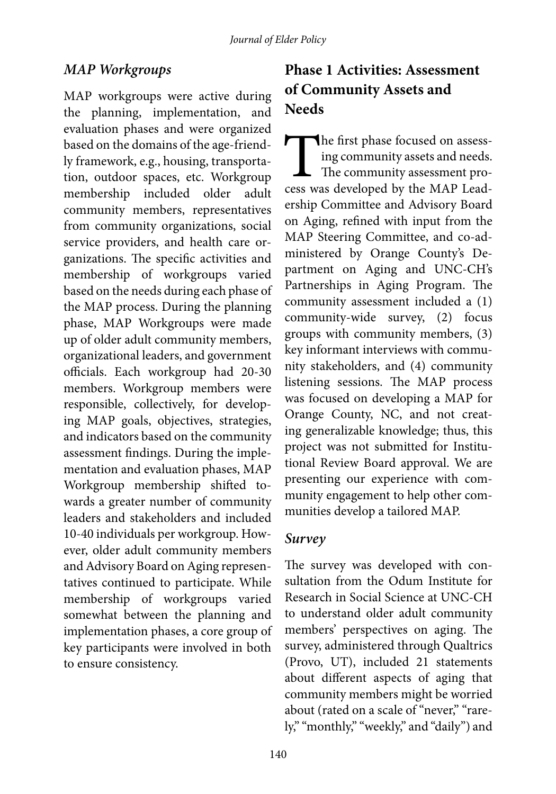#### *MAP Workgroups*

MAP workgroups were active during the planning, implementation, and evaluation phases and were organized based on the domains of the age-friendly framework, e.g., housing, transportation, outdoor spaces, etc. Workgroup membership included older adult community members, representatives from community organizations, social service providers, and health care organizations. The specific activities and membership of workgroups varied based on the needs during each phase of the MAP process. During the planning phase, MAP Workgroups were made up of older adult community members, organizational leaders, and government officials. Each workgroup had 20-30 members. Workgroup members were responsible, collectively, for developing MAP goals, objectives, strategies, and indicators based on the community assessment findings. During the implementation and evaluation phases, MAP Workgroup membership shifted towards a greater number of community leaders and stakeholders and included 10-40 individuals per workgroup. However, older adult community members and Advisory Board on Aging representatives continued to participate. While membership of workgroups varied somewhat between the planning and implementation phases, a core group of key participants were involved in both to ensure consistency.

## **Phase 1 Activities: Assessment of Community Assets and Needs**

The first phase focused on assessing community assets and needs.<br>The community assessment process was developed by the MAP Leading community assets and needs. The community assessment proership Committee and Advisory Board on Aging, refined with input from the MAP Steering Committee, and co-administered by Orange County's Department on Aging and UNC-CH's Partnerships in Aging Program. The community assessment included a (1) community-wide survey, (2) focus groups with community members, (3) key informant interviews with community stakeholders, and (4) community listening sessions. The MAP process was focused on developing a MAP for Orange County, NC, and not creating generalizable knowledge; thus, this project was not submitted for Institutional Review Board approval. We are presenting our experience with community engagement to help other communities develop a tailored MAP.

#### *Survey*

The survey was developed with consultation from the Odum Institute for Research in Social Science at UNC-CH to understand older adult community members' perspectives on aging. The survey, administered through Qualtrics (Provo, UT), included 21 statements about different aspects of aging that community members might be worried about (rated on a scale of "never," "rarely," "monthly," "weekly," and "daily") and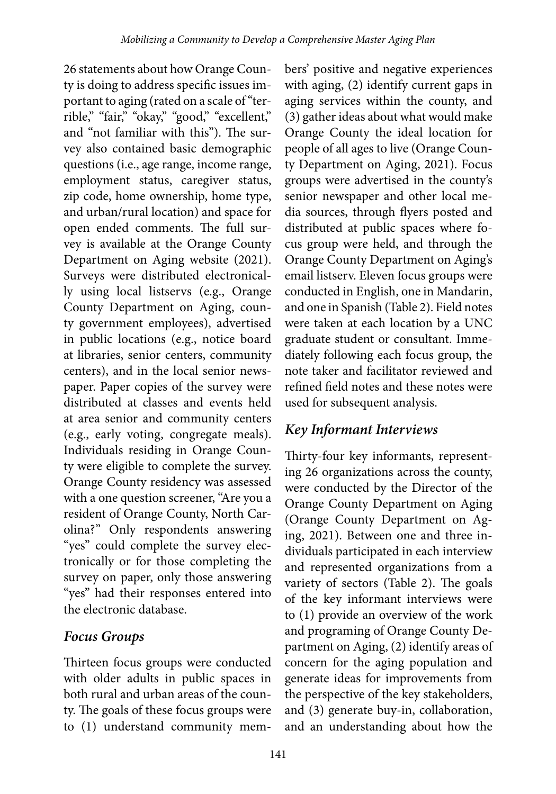26 statements about how Orange County is doing to address specific issues important to aging (rated on a scale of "terrible," "fair," "okay," "good," "excellent," and "not familiar with this"). The survey also contained basic demographic questions (i.e., age range, income range, employment status, caregiver status, zip code, home ownership, home type, and urban/rural location) and space for open ended comments. The full survey is available at the Orange County Department on Aging website (2021). Surveys were distributed electronically using local listservs (e.g., Orange County Department on Aging, county government employees), advertised in public locations (e.g., notice board at libraries, senior centers, community centers), and in the local senior newspaper. Paper copies of the survey were distributed at classes and events held at area senior and community centers (e.g., early voting, congregate meals). Individuals residing in Orange County were eligible to complete the survey. Orange County residency was assessed with a one question screener, "Are you a resident of Orange County, North Carolina?" Only respondents answering "yes" could complete the survey electronically or for those completing the survey on paper, only those answering "yes" had their responses entered into the electronic database.

### *Focus Groups*

Thirteen focus groups were conducted with older adults in public spaces in both rural and urban areas of the county. The goals of these focus groups were to (1) understand community mem-

bers' positive and negative experiences with aging, (2) identify current gaps in aging services within the county, and (3) gather ideas about what would make Orange County the ideal location for people of all ages to live (Orange County Department on Aging, 2021). Focus groups were advertised in the county's senior newspaper and other local media sources, through flyers posted and distributed at public spaces where focus group were held, and through the Orange County Department on Aging's email listserv. Eleven focus groups were conducted in English, one in Mandarin, and one in Spanish (Table 2). Field notes were taken at each location by a UNC graduate student or consultant. Immediately following each focus group, the note taker and facilitator reviewed and refined field notes and these notes were used for subsequent analysis.

## *Key Informant Interviews*

Thirty-four key informants, representing 26 organizations across the county, were conducted by the Director of the Orange County Department on Aging (Orange County Department on Aging, 2021). Between one and three individuals participated in each interview and represented organizations from a variety of sectors (Table 2). The goals of the key informant interviews were to (1) provide an overview of the work and programing of Orange County Department on Aging, (2) identify areas of concern for the aging population and generate ideas for improvements from the perspective of the key stakeholders, and (3) generate buy-in, collaboration, and an understanding about how the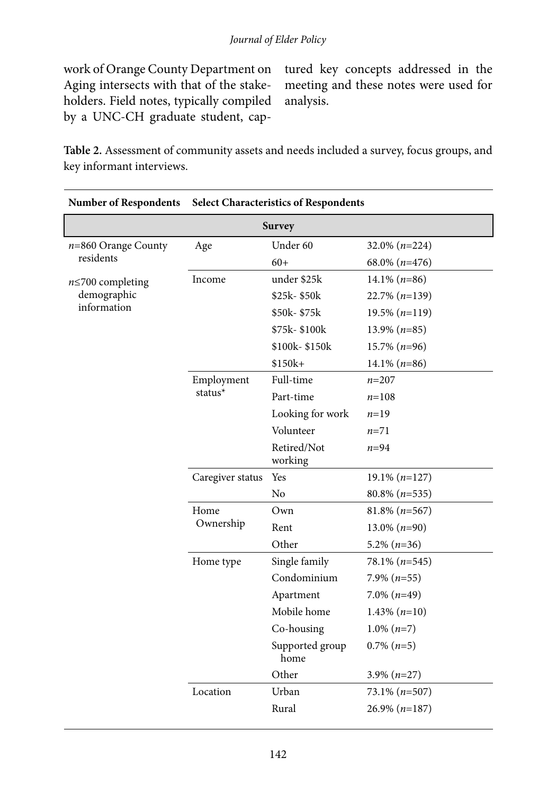work of Orange County Department on Aging intersects with that of the stakeholders. Field notes, typically compiled by a UNC-CH graduate student, cap-

tured key concepts addressed in the meeting and these notes were used for analysis.

**Table 2.** Assessment of community assets and needs included a survey, focus groups, and key informant interviews.

| <b>Number of Respondents</b>       | <b>Select Characteristics of Respondents</b> |                         |                      |  |  |  |
|------------------------------------|----------------------------------------------|-------------------------|----------------------|--|--|--|
| <b>Survey</b>                      |                                              |                         |                      |  |  |  |
| $n=860$ Orange County<br>residents | Age                                          | Under 60                | $32.0\%$ ( $n=224$ ) |  |  |  |
|                                    |                                              | $60+$                   | 68.0% $(n=476)$      |  |  |  |
| $n \le 700$ completing             | Income                                       | under \$25k             | $14.1\% (n=86)$      |  |  |  |
| demographic                        |                                              | \$25k-\$50k             | $22.7\% (n=139)$     |  |  |  |
| information                        |                                              | \$50k-\$75k             | $19.5\%$ (n=119)     |  |  |  |
|                                    |                                              | \$75k-\$100k            | $13.9\%$ (n=85)      |  |  |  |
|                                    |                                              | \$100k-\$150k           | $15.7\%$ (n=96)      |  |  |  |
|                                    |                                              | $$150k+$                | $14.1\%$ ( $n=86$ )  |  |  |  |
|                                    | Employment<br>status*                        | Full-time               | $n = 207$            |  |  |  |
|                                    |                                              | Part-time               | $n = 108$            |  |  |  |
|                                    |                                              | Looking for work        | $n=19$               |  |  |  |
|                                    |                                              | Volunteer               | $n = 71$             |  |  |  |
|                                    |                                              | Retired/Not<br>working  | $n=94$               |  |  |  |
|                                    | Caregiver status                             | Yes                     | $19.1\% (n=127)$     |  |  |  |
|                                    |                                              | No                      | $80.8\%$ ( $n=535$ ) |  |  |  |
|                                    | Home<br>Ownership                            | Own                     | $81.8\%$ ( $n=567$ ) |  |  |  |
|                                    |                                              | Rent                    | $13.0\%$ (n=90)      |  |  |  |
|                                    |                                              | Other                   | $5.2\%$ ( $n=36$ )   |  |  |  |
|                                    | Home type                                    | Single family           | $78.1\% (n=545)$     |  |  |  |
|                                    |                                              | Condominium             | 7.9% $(n=55)$        |  |  |  |
|                                    |                                              | Apartment               | $7.0\%$ ( $n=49$ )   |  |  |  |
|                                    |                                              | Mobile home             | $1.43\%$ (n=10)      |  |  |  |
|                                    |                                              | Co-housing              | $1.0\%$ (n=7)        |  |  |  |
|                                    |                                              | Supported group<br>home | $0.7\%$ $(n=5)$      |  |  |  |
|                                    |                                              | Other                   | 3.9% $(n=27)$        |  |  |  |
|                                    | Location                                     | Urban                   | $73.1\% (n=507)$     |  |  |  |
|                                    |                                              | Rural                   | $26.9\% (n=187)$     |  |  |  |
|                                    |                                              |                         |                      |  |  |  |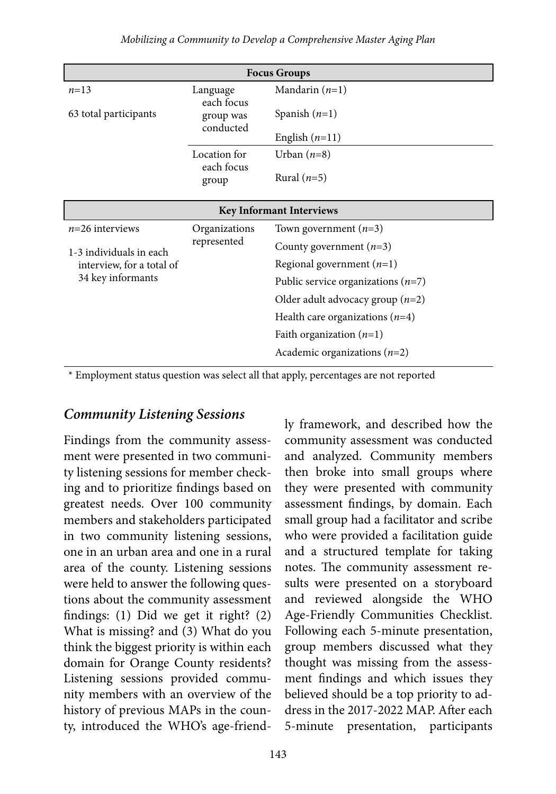| <b>Focus Groups</b>             |                                                  |                                      |  |  |
|---------------------------------|--------------------------------------------------|--------------------------------------|--|--|
| $n=13$                          | Language<br>each focus<br>group was<br>conducted | Mandarin $(n=1)$                     |  |  |
| 63 total participants           |                                                  | Spanish $(n=1)$                      |  |  |
|                                 |                                                  | English $(n=11)$                     |  |  |
|                                 | Location for                                     | Urban $(n=8)$                        |  |  |
|                                 | each focus<br>group                              | Rural $(n=5)$                        |  |  |
| <b>Key Informant Interviews</b> |                                                  |                                      |  |  |
| $n=26$ interviews               | Organizations<br>represented                     | Town government $(n=3)$              |  |  |
| 1-3 individuals in each         |                                                  | County government $(n=3)$            |  |  |
| interview, for a total of       |                                                  | Regional government $(n=1)$          |  |  |
| 34 key informants               |                                                  | Public service organizations $(n=7)$ |  |  |
|                                 |                                                  | Older adult advocacy group $(n=2)$   |  |  |
|                                 |                                                  | Health care organizations $(n=4)$    |  |  |
|                                 |                                                  | Faith organization $(n=1)$           |  |  |
|                                 |                                                  | Academic organizations $(n=2)$       |  |  |

\* Employment status question was select all that apply, percentages are not reported

#### *Community Listening Sessions*

Findings from the community assessment were presented in two community listening sessions for member checking and to prioritize findings based on greatest needs. Over 100 community members and stakeholders participated in two community listening sessions, one in an urban area and one in a rural area of the county. Listening sessions were held to answer the following questions about the community assessment findings: (1) Did we get it right? (2) What is missing? and (3) What do you think the biggest priority is within each domain for Orange County residents? Listening sessions provided community members with an overview of the history of previous MAPs in the county, introduced the WHO's age-friendly framework, and described how the community assessment was conducted and analyzed. Community members then broke into small groups where they were presented with community assessment findings, by domain. Each small group had a facilitator and scribe who were provided a facilitation guide and a structured template for taking notes. The community assessment results were presented on a storyboard and reviewed alongside the WHO Age-Friendly Communities Checklist. Following each 5-minute presentation, group members discussed what they thought was missing from the assessment findings and which issues they believed should be a top priority to address in the 2017-2022 MAP. After each 5-minute presentation, participants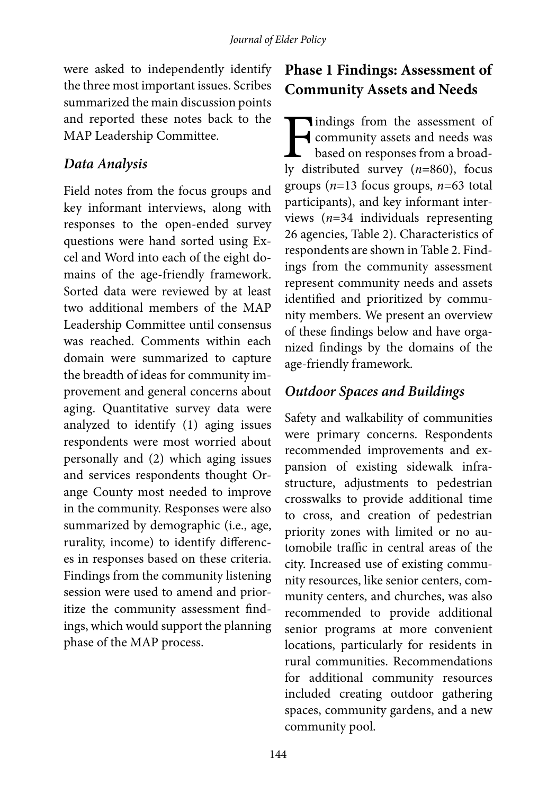were asked to independently identify the three most important issues. Scribes summarized the main discussion points and reported these notes back to the MAP Leadership Committee.

#### *Data Analysis*

Field notes from the focus groups and key informant interviews, along with responses to the open-ended survey questions were hand sorted using Excel and Word into each of the eight domains of the age-friendly framework. Sorted data were reviewed by at least two additional members of the MAP Leadership Committee until consensus was reached. Comments within each domain were summarized to capture the breadth of ideas for community improvement and general concerns about aging. Quantitative survey data were analyzed to identify (1) aging issues respondents were most worried about personally and (2) which aging issues and services respondents thought Orange County most needed to improve in the community. Responses were also summarized by demographic (i.e., age, rurality, income) to identify differences in responses based on these criteria. Findings from the community listening session were used to amend and prioritize the community assessment findings, which would support the planning phase of the MAP process.

## **Phase 1 Findings: Assessment of Community Assets and Needs**

**Tindings from the assessment of** community assets and needs was based on responses from a broadly distributed survey (*n*=860), focus groups (*n*=13 focus groups, *n*=63 total participants), and key informant interviews (*n*=34 individuals representing 26 agencies, Table 2). Characteristics of respondents are shown in Table 2. Findings from the community assessment represent community needs and assets identified and prioritized by community members. We present an overview of these findings below and have organized findings by the domains of the age-friendly framework.

#### *Outdoor Spaces and Buildings*

Safety and walkability of communities were primary concerns. Respondents recommended improvements and expansion of existing sidewalk infrastructure, adjustments to pedestrian crosswalks to provide additional time to cross, and creation of pedestrian priority zones with limited or no automobile traffic in central areas of the city. Increased use of existing community resources, like senior centers, community centers, and churches, was also recommended to provide additional senior programs at more convenient locations, particularly for residents in rural communities. Recommendations for additional community resources included creating outdoor gathering spaces, community gardens, and a new community pool.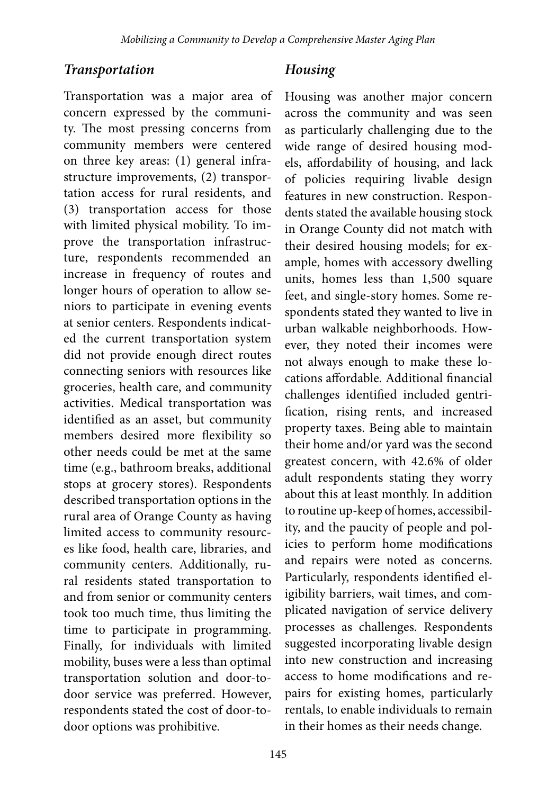#### *Transportation*

Transportation was a major area of concern expressed by the community. The most pressing concerns from community members were centered on three key areas: (1) general infrastructure improvements, (2) transportation access for rural residents, and (3) transportation access for those with limited physical mobility. To improve the transportation infrastructure, respondents recommended an increase in frequency of routes and longer hours of operation to allow seniors to participate in evening events at senior centers. Respondents indicated the current transportation system did not provide enough direct routes connecting seniors with resources like groceries, health care, and community activities. Medical transportation was identified as an asset, but community members desired more flexibility so other needs could be met at the same time (e.g., bathroom breaks, additional stops at grocery stores). Respondents described transportation options in the rural area of Orange County as having limited access to community resources like food, health care, libraries, and community centers. Additionally, rural residents stated transportation to and from senior or community centers took too much time, thus limiting the time to participate in programming. Finally, for individuals with limited mobility, buses were a less than optimal transportation solution and door-todoor service was preferred. However, respondents stated the cost of door-todoor options was prohibitive.

#### *Housing*

Housing was another major concern across the community and was seen as particularly challenging due to the wide range of desired housing models, affordability of housing, and lack of policies requiring livable design features in new construction. Respondents stated the available housing stock in Orange County did not match with their desired housing models; for example, homes with accessory dwelling units, homes less than 1,500 square feet, and single-story homes. Some respondents stated they wanted to live in urban walkable neighborhoods. However, they noted their incomes were not always enough to make these locations affordable. Additional financial challenges identified included gentrification, rising rents, and increased property taxes. Being able to maintain their home and/or yard was the second greatest concern, with 42.6% of older adult respondents stating they worry about this at least monthly. In addition to routine up-keep of homes, accessibility, and the paucity of people and policies to perform home modifications and repairs were noted as concerns. Particularly, respondents identified eligibility barriers, wait times, and complicated navigation of service delivery processes as challenges. Respondents suggested incorporating livable design into new construction and increasing access to home modifications and repairs for existing homes, particularly rentals, to enable individuals to remain in their homes as their needs change.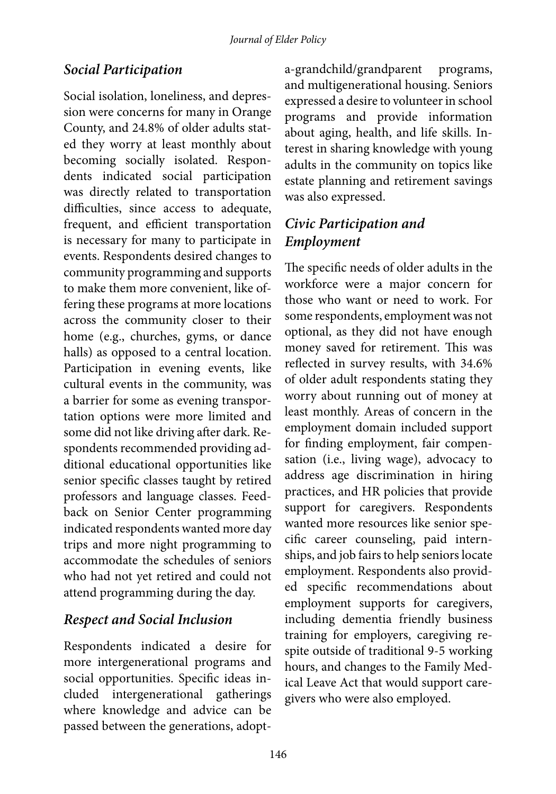## *Social Participation*

Social isolation, loneliness, and depression were concerns for many in Orange County, and 24.8% of older adults stated they worry at least monthly about becoming socially isolated. Respondents indicated social participation was directly related to transportation difficulties, since access to adequate, frequent, and efficient transportation is necessary for many to participate in events. Respondents desired changes to community programming and supports to make them more convenient, like offering these programs at more locations across the community closer to their home (e.g., churches, gyms, or dance halls) as opposed to a central location. Participation in evening events, like cultural events in the community, was a barrier for some as evening transportation options were more limited and some did not like driving after dark. Respondents recommended providing additional educational opportunities like senior specific classes taught by retired professors and language classes. Feedback on Senior Center programming indicated respondents wanted more day trips and more night programming to accommodate the schedules of seniors who had not yet retired and could not attend programming during the day.

### *Respect and Social Inclusion*

Respondents indicated a desire for more intergenerational programs and social opportunities. Specific ideas included intergenerational gatherings where knowledge and advice can be passed between the generations, adopta-grandchild/grandparent programs, and multigenerational housing. Seniors expressed a desire to volunteer in school programs and provide information about aging, health, and life skills. Interest in sharing knowledge with young adults in the community on topics like estate planning and retirement savings was also expressed.

## *Civic Participation and Employment*

The specific needs of older adults in the workforce were a major concern for those who want or need to work. For some respondents, employment was not optional, as they did not have enough money saved for retirement. This was reflected in survey results, with 34.6% of older adult respondents stating they worry about running out of money at least monthly. Areas of concern in the employment domain included support for finding employment, fair compensation (i.e., living wage), advocacy to address age discrimination in hiring practices, and HR policies that provide support for caregivers. Respondents wanted more resources like senior specific career counseling, paid internships, and job fairs to help seniors locate employment. Respondents also provided specific recommendations about employment supports for caregivers, including dementia friendly business training for employers, caregiving respite outside of traditional 9-5 working hours, and changes to the Family Medical Leave Act that would support caregivers who were also employed.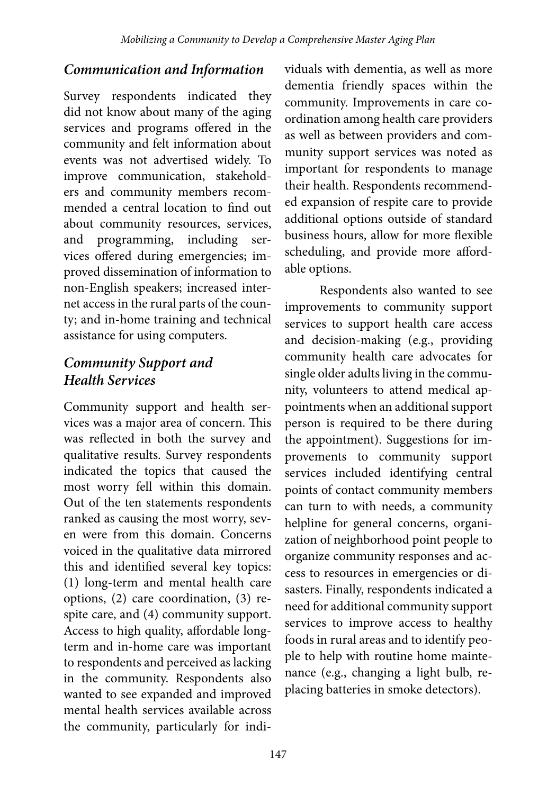#### *Communication and Information*

Survey respondents indicated they did not know about many of the aging services and programs offered in the community and felt information about events was not advertised widely. To improve communication, stakeholders and community members recommended a central location to find out about community resources, services, and programming, including services offered during emergencies; improved dissemination of information to non-English speakers; increased internet access in the rural parts of the county; and in-home training and technical assistance for using computers.

### *Community Support and Health Services*

Community support and health services was a major area of concern. This was reflected in both the survey and qualitative results. Survey respondents indicated the topics that caused the most worry fell within this domain. Out of the ten statements respondents ranked as causing the most worry, seven were from this domain. Concerns voiced in the qualitative data mirrored this and identified several key topics: (1) long-term and mental health care options, (2) care coordination, (3) respite care, and (4) community support. Access to high quality, affordable longterm and in-home care was important to respondents and perceived as lacking in the community. Respondents also wanted to see expanded and improved mental health services available across the community, particularly for individuals with dementia, as well as more dementia friendly spaces within the community. Improvements in care coordination among health care providers as well as between providers and community support services was noted as important for respondents to manage their health. Respondents recommended expansion of respite care to provide additional options outside of standard business hours, allow for more flexible scheduling, and provide more affordable options.

Respondents also wanted to see improvements to community support services to support health care access and decision-making (e.g., providing community health care advocates for single older adults living in the community, volunteers to attend medical appointments when an additional support person is required to be there during the appointment). Suggestions for improvements to community support services included identifying central points of contact community members can turn to with needs, a community helpline for general concerns, organization of neighborhood point people to organize community responses and access to resources in emergencies or disasters. Finally, respondents indicated a need for additional community support services to improve access to healthy foods in rural areas and to identify people to help with routine home maintenance (e.g., changing a light bulb, replacing batteries in smoke detectors).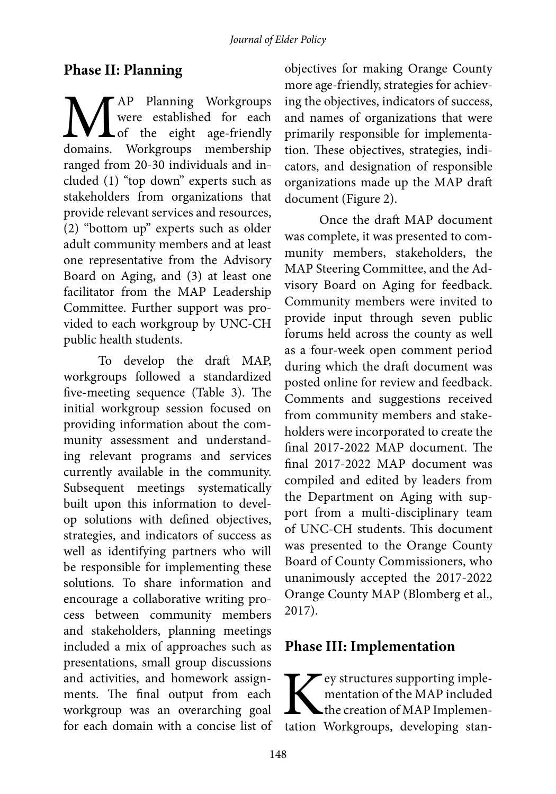#### **Phase II: Planning**

MAP Planning Workgroups domains. Workgroups membership were established for each of the eight age-friendly ranged from 20-30 individuals and included (1) "top down" experts such as stakeholders from organizations that provide relevant services and resources, (2) "bottom up" experts such as older adult community members and at least one representative from the Advisory Board on Aging, and (3) at least one facilitator from the MAP Leadership Committee. Further support was provided to each workgroup by UNC-CH public health students.

To develop the draft MAP, workgroups followed a standardized five-meeting sequence (Table 3). The initial workgroup session focused on providing information about the community assessment and understanding relevant programs and services currently available in the community. Subsequent meetings systematically built upon this information to develop solutions with defined objectives, strategies, and indicators of success as well as identifying partners who will be responsible for implementing these solutions. To share information and encourage a collaborative writing process between community members and stakeholders, planning meetings included a mix of approaches such as presentations, small group discussions and activities, and homework assignments. The final output from each workgroup was an overarching goal for each domain with a concise list of objectives for making Orange County more age-friendly, strategies for achieving the objectives, indicators of success, and names of organizations that were primarily responsible for implementation. These objectives, strategies, indicators, and designation of responsible organizations made up the MAP draft document (Figure 2).

Once the draft MAP document was complete, it was presented to community members, stakeholders, the MAP Steering Committee, and the Advisory Board on Aging for feedback. Community members were invited to provide input through seven public forums held across the county as well as a four-week open comment period during which the draft document was posted online for review and feedback. Comments and suggestions received from community members and stakeholders were incorporated to create the final 2017-2022 MAP document. The final 2017-2022 MAP document was compiled and edited by leaders from the Department on Aging with support from a multi-disciplinary team of UNC-CH students. This document was presented to the Orange County Board of County Commissioners, who unanimously accepted the 2017-2022 Orange County MAP (Blomberg et al., 2017).

### **Phase III: Implementation**

Key structures supporting implementation of the MAP included the creation of MAP Implementation Workgroups, developing stanmentation of the MAP included the creation of MAP Implemen-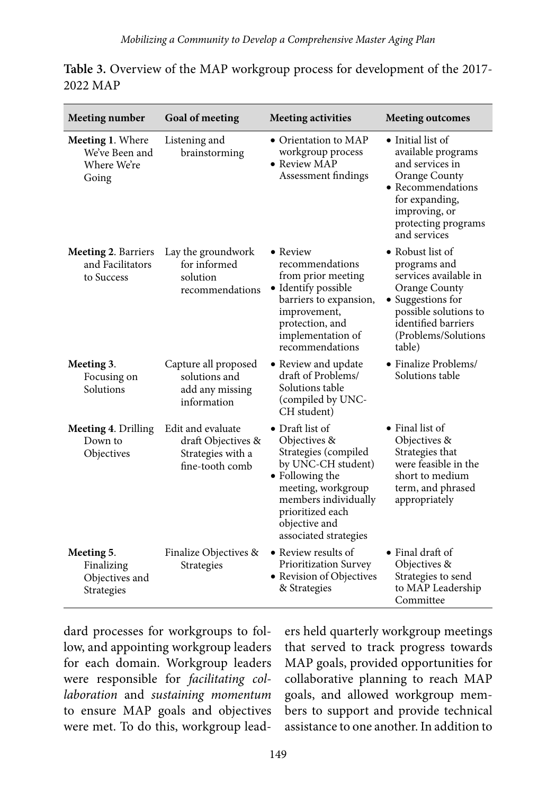| <b>Meeting number</b>                                             | Goal of meeting                                                                 | <b>Meeting activities</b>                                                                                                                                                                                    | <b>Meeting outcomes</b>                                                                                                                                                           |
|-------------------------------------------------------------------|---------------------------------------------------------------------------------|--------------------------------------------------------------------------------------------------------------------------------------------------------------------------------------------------------------|-----------------------------------------------------------------------------------------------------------------------------------------------------------------------------------|
| <b>Meeting 1. Where</b><br>We've Been and<br>Where We're<br>Going | Listening and<br>brainstorming                                                  | • Orientation to MAP<br>workgroup process<br>• Review MAP<br>Assessment findings                                                                                                                             | • Initial list of<br>available programs<br>and services in<br>Orange County<br>• Recommendations<br>for expanding,<br>improving, or<br>protecting programs<br>and services        |
| Meeting 2. Barriers<br>and Facilitators<br>to Success             | Lay the groundwork<br>for informed<br>solution<br>recommendations               | • Review<br>recommendations<br>from prior meeting<br>• Identify possible<br>barriers to expansion,<br>improvement,<br>protection, and<br>implementation of<br>recommendations                                | • Robust list of<br>programs and<br>services available in<br>Orange County<br>• Suggestions for<br>possible solutions to<br>identified barriers<br>(Problems/Solutions)<br>table) |
| Meeting 3.<br>Focusing on<br>Solutions                            | Capture all proposed<br>solutions and<br>add any missing<br>information         | • Review and update<br>draft of Problems/<br>Solutions table<br>(compiled by UNC-<br>CH student)                                                                                                             | • Finalize Problems/<br>Solutions table                                                                                                                                           |
| Meeting 4. Drilling<br>Down to<br>Objectives                      | Edit and evaluate<br>draft Objectives &<br>Strategies with a<br>fine-tooth comb | • Draft list of<br>Objectives &<br>Strategies (compiled<br>by UNC-CH student)<br>• Following the<br>meeting, workgroup<br>members individually<br>prioritized each<br>objective and<br>associated strategies | • Final list of<br>Objectives &<br>Strategies that<br>were feasible in the<br>short to medium<br>term, and phrased<br>appropriately                                               |
| Meeting 5.<br>Finalizing<br>Objectives and<br>Strategies          | Finalize Objectives &<br>Strategies                                             | • Review results of<br>Prioritization Survey<br>• Revision of Objectives<br>& Strategies                                                                                                                     | $\bullet$ Final draft of<br>Objectives &<br>Strategies to send<br>to MAP Leadership<br>Committee                                                                                  |

**Table 3.** Overview of the MAP workgroup process for development of the 2017- 2022 MAP

dard processes for workgroups to follow, and appointing workgroup leaders for each domain. Workgroup leaders were responsible for *facilitating collaboration* and *sustaining momentum* to ensure MAP goals and objectives were met. To do this, workgroup lead-

ers held quarterly workgroup meetings that served to track progress towards MAP goals, provided opportunities for collaborative planning to reach MAP goals, and allowed workgroup members to support and provide technical assistance to one another. In addition to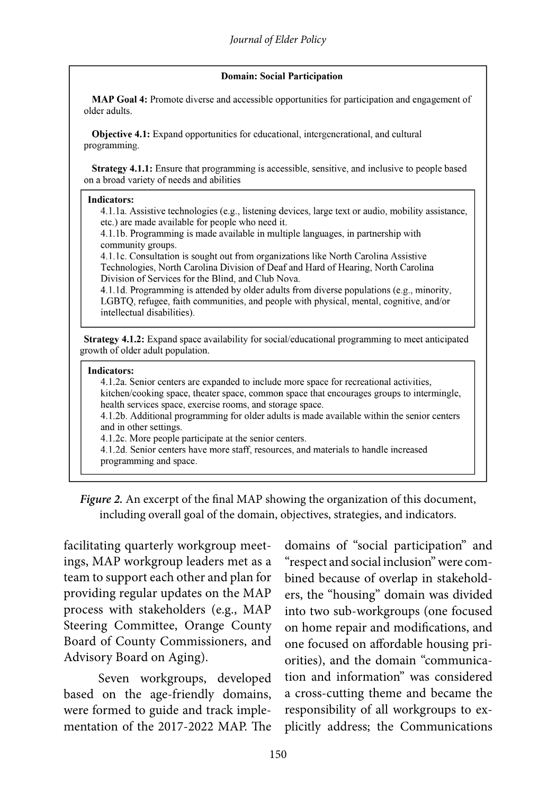#### **Domain: Social Participation**

MAP Goal 4: Promote diverse and accessible opportunities for participation and engagement of older adults.

Objective 4.1: Expand opportunities for educational, intergenerational, and cultural programming.

Strategy 4.1.1: Ensure that programming is accessible, sensitive, and inclusive to people based on a broad variety of needs and abilities

#### **Indicators:**

4.1.1a. Assistive technologies (e.g., listening devices, large text or audio, mobility assistance, etc.) are made available for people who need it.

4.1.1b. Programming is made available in multiple languages, in partnership with community groups.

4.1.1c. Consultation is sought out from organizations like North Carolina Assistive Technologies, North Carolina Division of Deaf and Hard of Hearing, North Carolina Division of Services for the Blind, and Club Nova.

4.1.1d. Programming is attended by older adults from diverse populations (e.g., minority, LGBTQ, refugee, faith communities, and people with physical, mental, cognitive, and/or intellectual disabilities).

Strategy 4.1.2: Expand space availability for social/educational programming to meet anticipated growth of older adult population.

#### **Indicators:**

4.1.2a. Senior centers are expanded to include more space for recreational activities, kitchen/cooking space, theater space, common space that encourages groups to intermingle, health services space, exercise rooms, and storage space.

4.1.2b. Additional programming for older adults is made available within the senior centers and in other settings.

4.1.2c. More people participate at the senior centers.

4.1.2d. Senior centers have more staff, resources, and materials to handle increased programming and space.

*Figure 2.* An excerpt of the final MAP showing the organization of this document, including overall goal of the domain, objectives, strategies, and indicators.

facilitating quarterly workgroup meetings, MAP workgroup leaders met as a team to support each other and plan for providing regular updates on the MAP process with stakeholders (e.g., MAP Steering Committee, Orange County Board of County Commissioners, and Advisory Board on Aging).

Seven workgroups, developed based on the age-friendly domains, were formed to guide and track implementation of the 2017-2022 MAP. The domains of "social participation" and "respect and social inclusion" were combined because of overlap in stakeholders, the "housing" domain was divided into two sub-workgroups (one focused on home repair and modifications, and one focused on affordable housing priorities), and the domain "communication and information" was considered a cross-cutting theme and became the responsibility of all workgroups to explicitly address; the Communications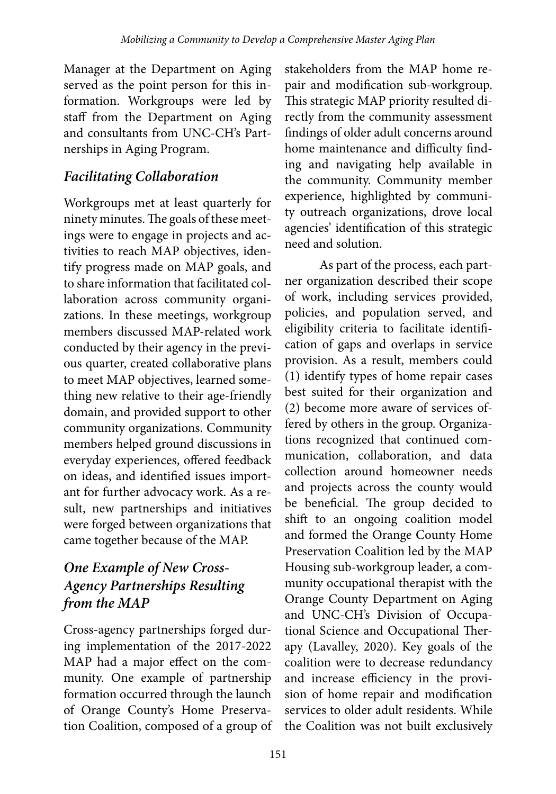Manager at the Department on Aging served as the point person for this information. Workgroups were led by staff from the Department on Aging and consultants from UNC-CH's Partnerships in Aging Program.

## *Facilitating Collaboration*

Workgroups met at least quarterly for ninety minutes. The goals of these meetings were to engage in projects and activities to reach MAP objectives, identify progress made on MAP goals, and to share information that facilitated collaboration across community organizations. In these meetings, workgroup members discussed MAP-related work conducted by their agency in the previous quarter, created collaborative plans to meet MAP objectives, learned something new relative to their age-friendly domain, and provided support to other community organizations. Community members helped ground discussions in everyday experiences, offered feedback on ideas, and identified issues important for further advocacy work. As a result, new partnerships and initiatives were forged between organizations that came together because of the MAP.

## *One Example of New Cross-Agency Partnerships Resulting from the MAP*

Cross-agency partnerships forged during implementation of the 2017-2022 MAP had a major effect on the community. One example of partnership formation occurred through the launch of Orange County's Home Preservation Coalition, composed of a group of

stakeholders from the MAP home repair and modification sub-workgroup. This strategic MAP priority resulted directly from the community assessment findings of older adult concerns around home maintenance and difficulty finding and navigating help available in the community. Community member experience, highlighted by community outreach organizations, drove local agencies' identification of this strategic need and solution.

As part of the process, each partner organization described their scope of work, including services provided, policies, and population served, and eligibility criteria to facilitate identification of gaps and overlaps in service provision. As a result, members could (1) identify types of home repair cases best suited for their organization and (2) become more aware of services offered by others in the group. Organizations recognized that continued communication, collaboration, and data collection around homeowner needs and projects across the county would be beneficial. The group decided to shift to an ongoing coalition model and formed the Orange County Home Preservation Coalition led by the MAP Housing sub-workgroup leader, a community occupational therapist with the Orange County Department on Aging and UNC-CH's Division of Occupational Science and Occupational Therapy (Lavalley, 2020). Key goals of the coalition were to decrease redundancy and increase efficiency in the provision of home repair and modification services to older adult residents. While the Coalition was not built exclusively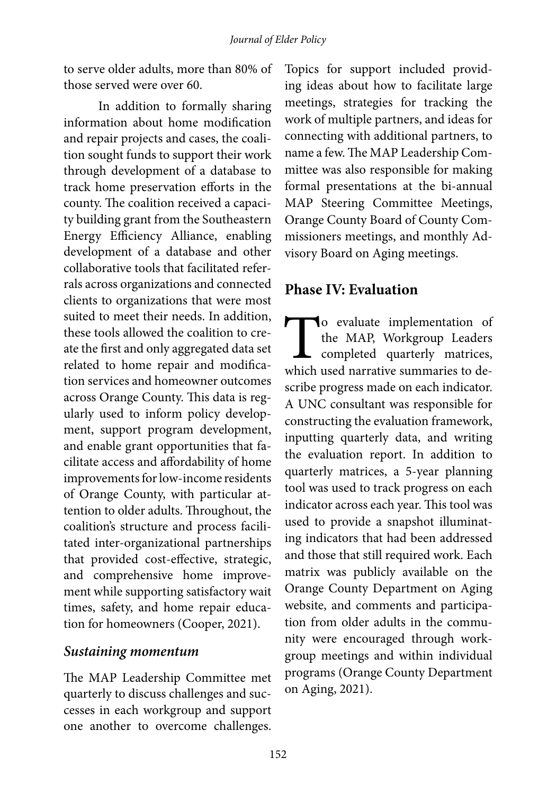to serve older adults, more than 80% of those served were over 60.

In addition to formally sharing information about home modification and repair projects and cases, the coalition sought funds to support their work through development of a database to track home preservation efforts in the county. The coalition received a capacity building grant from the Southeastern Energy Efficiency Alliance, enabling development of a database and other collaborative tools that facilitated referrals across organizations and connected clients to organizations that were most suited to meet their needs. In addition, these tools allowed the coalition to create the first and only aggregated data set related to home repair and modification services and homeowner outcomes across Orange County. This data is regularly used to inform policy development, support program development, and enable grant opportunities that facilitate access and affordability of home improvements for low-income residents of Orange County, with particular attention to older adults. Throughout, the coalition's structure and process facilitated inter-organizational partnerships that provided cost-effective, strategic, and comprehensive home improvement while supporting satisfactory wait times, safety, and home repair education for homeowners (Cooper, 2021).

#### *Sustaining momentum*

The MAP Leadership Committee met quarterly to discuss challenges and successes in each workgroup and support one another to overcome challenges.

Topics for support included providing ideas about how to facilitate large meetings, strategies for tracking the work of multiple partners, and ideas for connecting with additional partners, to name a few. The MAP Leadership Committee was also responsible for making formal presentations at the bi-annual MAP Steering Committee Meetings, Orange County Board of County Commissioners meetings, and monthly Advisory Board on Aging meetings.

#### **Phase IV: Evaluation**

To evaluate implementation of the MAP, Workgroup Leaders completed quarterly matrices, which used narrative summaries to describe progress made on each indicator. A UNC consultant was responsible for constructing the evaluation framework, inputting quarterly data, and writing the evaluation report. In addition to quarterly matrices, a 5-year planning tool was used to track progress on each indicator across each year. This tool was used to provide a snapshot illuminating indicators that had been addressed and those that still required work. Each matrix was publicly available on the Orange County Department on Aging website, and comments and participation from older adults in the community were encouraged through workgroup meetings and within individual programs (Orange County Department on Aging, 2021).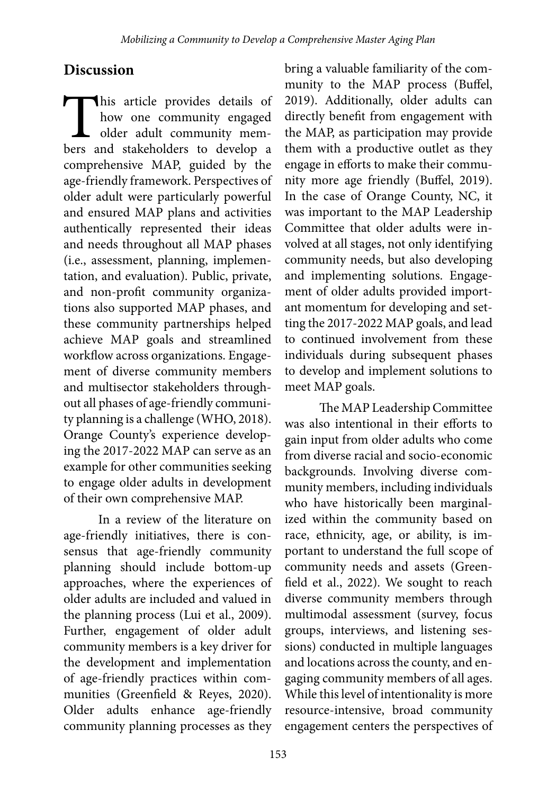#### **Discussion**

This article provides details of<br>how one community engaged<br>older adult community mem-<br>bers and stakeholders to develop a how one community engaged older adult community members and stakeholders to develop a comprehensive MAP, guided by the age-friendly framework. Perspectives of older adult were particularly powerful and ensured MAP plans and activities authentically represented their ideas and needs throughout all MAP phases (i.e., assessment, planning, implementation, and evaluation). Public, private, and non-profit community organizations also supported MAP phases, and these community partnerships helped achieve MAP goals and streamlined workflow across organizations. Engagement of diverse community members and multisector stakeholders throughout all phases of age-friendly community planning is a challenge (WHO, 2018). Orange County's experience developing the 2017-2022 MAP can serve as an example for other communities seeking to engage older adults in development of their own comprehensive MAP.

In a review of the literature on age-friendly initiatives, there is consensus that age-friendly community planning should include bottom-up approaches, where the experiences of older adults are included and valued in the planning process (Lui et al., 2009). Further, engagement of older adult community members is a key driver for the development and implementation of age-friendly practices within communities (Greenfield & Reyes, 2020). Older adults enhance age-friendly community planning processes as they

bring a valuable familiarity of the community to the MAP process (Buffel, 2019). Additionally, older adults can directly benefit from engagement with the MAP, as participation may provide them with a productive outlet as they engage in efforts to make their community more age friendly (Buffel, 2019). In the case of Orange County, NC, it was important to the MAP Leadership Committee that older adults were involved at all stages, not only identifying community needs, but also developing and implementing solutions. Engagement of older adults provided important momentum for developing and setting the 2017-2022 MAP goals, and lead to continued involvement from these individuals during subsequent phases to develop and implement solutions to meet MAP goals.

The MAP Leadership Committee was also intentional in their efforts to gain input from older adults who come from diverse racial and socio-economic backgrounds. Involving diverse community members, including individuals who have historically been marginalized within the community based on race, ethnicity, age, or ability, is important to understand the full scope of community needs and assets (Greenfield et al., 2022). We sought to reach diverse community members through multimodal assessment (survey, focus groups, interviews, and listening sessions) conducted in multiple languages and locations across the county, and engaging community members of all ages. While this level of intentionality is more resource-intensive, broad community engagement centers the perspectives of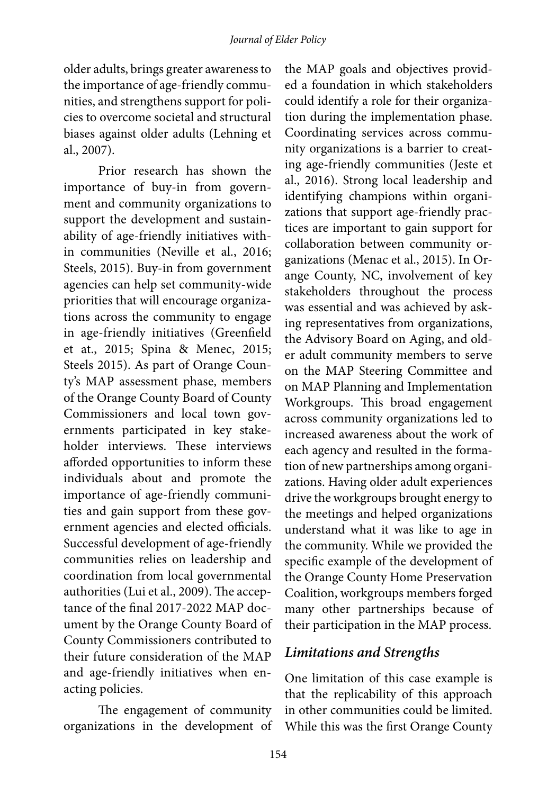older adults, brings greater awareness to the importance of age-friendly communities, and strengthens support for policies to overcome societal and structural biases against older adults (Lehning et al., 2007).

Prior research has shown the importance of buy-in from government and community organizations to support the development and sustainability of age-friendly initiatives within communities (Neville et al., 2016; Steels, 2015). Buy-in from government agencies can help set community-wide priorities that will encourage organizations across the community to engage in age-friendly initiatives (Greenfield et at., 2015; Spina & Menec, 2015; Steels 2015). As part of Orange County's MAP assessment phase, members of the Orange County Board of County Commissioners and local town governments participated in key stakeholder interviews. These interviews afforded opportunities to inform these individuals about and promote the importance of age-friendly communities and gain support from these government agencies and elected officials. Successful development of age-friendly communities relies on leadership and coordination from local governmental authorities (Lui et al., 2009). The acceptance of the final 2017-2022 MAP document by the Orange County Board of County Commissioners contributed to their future consideration of the MAP and age-friendly initiatives when enacting policies.

The engagement of community organizations in the development of the MAP goals and objectives provided a foundation in which stakeholders could identify a role for their organization during the implementation phase. Coordinating services across community organizations is a barrier to creating age-friendly communities (Jeste et al., 2016). Strong local leadership and identifying champions within organizations that support age-friendly practices are important to gain support for collaboration between community organizations (Menac et al., 2015). In Orange County, NC, involvement of key stakeholders throughout the process was essential and was achieved by asking representatives from organizations, the Advisory Board on Aging, and older adult community members to serve on the MAP Steering Committee and on MAP Planning and Implementation Workgroups. This broad engagement across community organizations led to increased awareness about the work of each agency and resulted in the formation of new partnerships among organizations. Having older adult experiences drive the workgroups brought energy to the meetings and helped organizations understand what it was like to age in the community. While we provided the specific example of the development of the Orange County Home Preservation Coalition, workgroups members forged many other partnerships because of their participation in the MAP process.

#### *Limitations and Strengths*

One limitation of this case example is that the replicability of this approach in other communities could be limited. While this was the first Orange County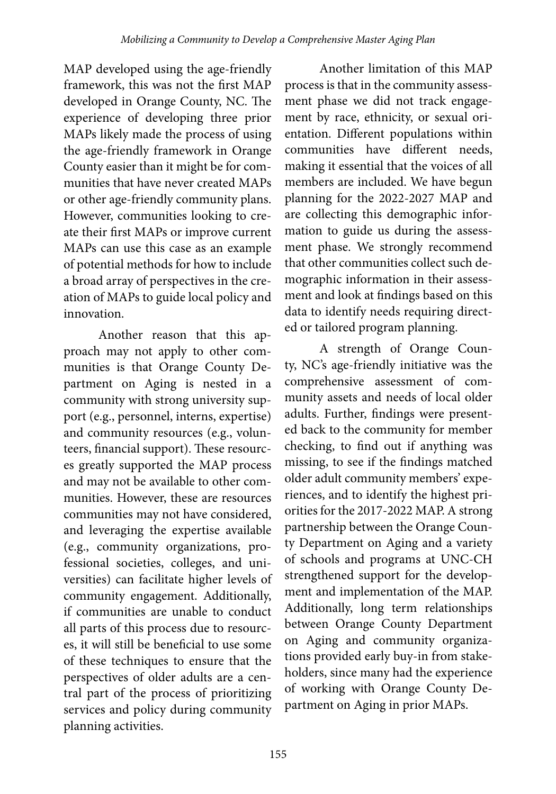MAP developed using the age-friendly framework, this was not the first MAP developed in Orange County, NC. The experience of developing three prior MAPs likely made the process of using the age-friendly framework in Orange County easier than it might be for communities that have never created MAPs or other age-friendly community plans. However, communities looking to create their first MAPs or improve current MAPs can use this case as an example of potential methods for how to include a broad array of perspectives in the creation of MAPs to guide local policy and innovation.

Another reason that this approach may not apply to other communities is that Orange County Department on Aging is nested in a community with strong university support (e.g., personnel, interns, expertise) and community resources (e.g., volunteers, financial support). These resources greatly supported the MAP process and may not be available to other communities. However, these are resources communities may not have considered, and leveraging the expertise available (e.g., community organizations, professional societies, colleges, and universities) can facilitate higher levels of community engagement. Additionally, if communities are unable to conduct all parts of this process due to resources, it will still be beneficial to use some of these techniques to ensure that the perspectives of older adults are a central part of the process of prioritizing services and policy during community planning activities.

Another limitation of this MAP process is that in the community assessment phase we did not track engagement by race, ethnicity, or sexual orientation. Different populations within communities have different needs, making it essential that the voices of all members are included. We have begun planning for the 2022-2027 MAP and are collecting this demographic information to guide us during the assessment phase. We strongly recommend that other communities collect such demographic information in their assessment and look at findings based on this data to identify needs requiring directed or tailored program planning.

A strength of Orange County, NC's age-friendly initiative was the comprehensive assessment of community assets and needs of local older adults. Further, findings were presented back to the community for member checking, to find out if anything was missing, to see if the findings matched older adult community members' experiences, and to identify the highest priorities for the 2017-2022 MAP. A strong partnership between the Orange County Department on Aging and a variety of schools and programs at UNC-CH strengthened support for the development and implementation of the MAP. Additionally, long term relationships between Orange County Department on Aging and community organizations provided early buy-in from stakeholders, since many had the experience of working with Orange County Department on Aging in prior MAPs.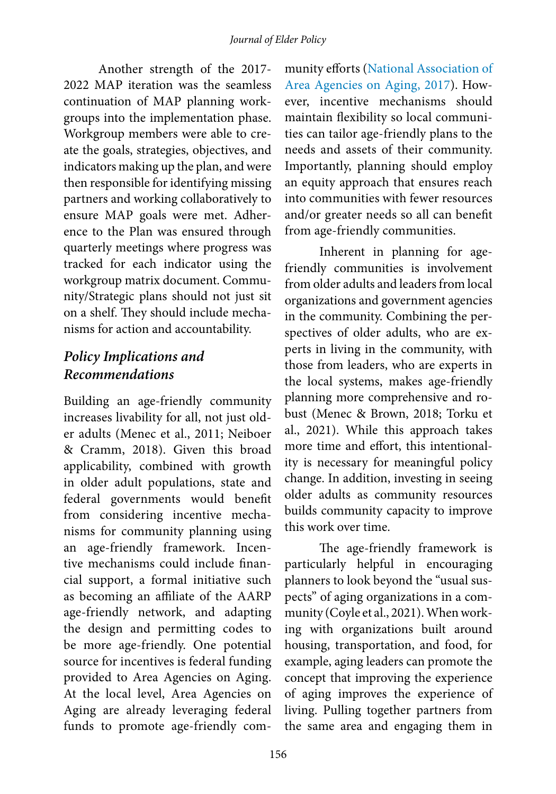Another strength of the 2017- 2022 MAP iteration was the seamless continuation of MAP planning workgroups into the implementation phase. Workgroup members were able to create the goals, strategies, objectives, and indicators making up the plan, and were then responsible for identifying missing partners and working collaboratively to ensure MAP goals were met. Adherence to the Plan was ensured through quarterly meetings where progress was tracked for each indicator using the workgroup matrix document. Community/Strategic plans should not just sit on a shelf. They should include mechanisms for action and accountability.

#### *Policy Implications and Recommendations*

Building an age-friendly community increases livability for all, not just older adults (Menec et al., 2011; Neiboer & Cramm, 2018). Given this broad applicability, combined with growth in older adult populations, state and federal governments would benefit from considering incentive mechanisms for community planning using an age-friendly framework. Incentive mechanisms could include financial support, a formal initiative such as becoming an affiliate of the AARP age-friendly network, and adapting the design and permitting codes to be more age-friendly. One potential source for incentives is federal funding provided to Area Agencies on Aging. At the local level, Area Agencies on Aging are already leveraging federal funds to promote age-friendly com-

munity efforts ([National](https://www.n4a.org/Files/LocalLeadersAAA2017.pdf) Association of Area Agencies on Aging, 2017). However, incentive mechanisms should maintain flexibility so local communities can tailor age-friendly plans to the needs and assets of their community. Importantly, planning should employ an equity approach that ensures reach into communities with fewer resources and/or greater needs so all can benefit from age-friendly communities.

Inherent in planning for agefriendly communities is involvement from older adults and leaders from local organizations and government agencies in the community. Combining the perspectives of older adults, who are experts in living in the community, with those from leaders, who are experts in the local systems, makes age-friendly planning more comprehensive and robust (Menec & Brown, 2018; Torku et al., 2021). While this approach takes more time and effort, this intentionality is necessary for meaningful policy change. In addition, investing in seeing older adults as community resources builds community capacity to improve this work over time.

The age-friendly framework is particularly helpful in encouraging planners to look beyond the "usual suspects" of aging organizations in a community (Coyle et al., 2021). When working with organizations built around housing, transportation, and food, for example, aging leaders can promote the concept that improving the experience of aging improves the experience of living. Pulling together partners from the same area and engaging them in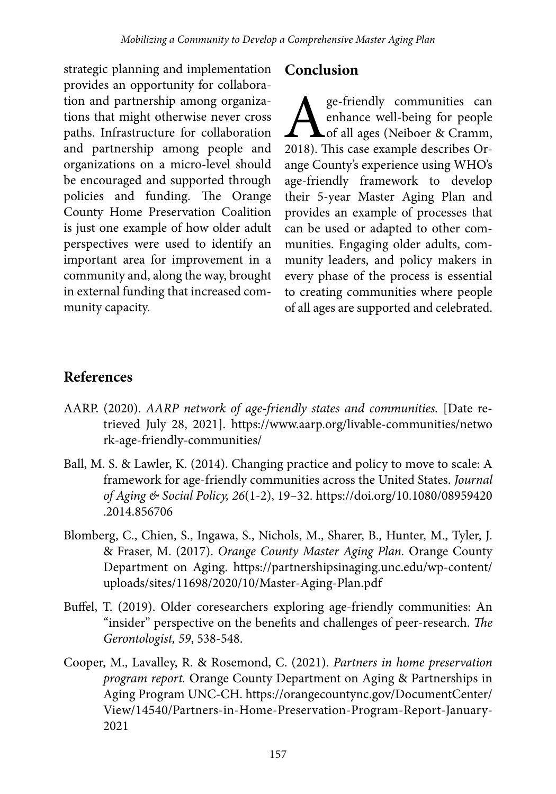strategic planning and implementation provides an opportunity for collaboration and partnership among organizations that might otherwise never cross paths. Infrastructure for collaboration and partnership among people and organizations on a micro-level should be encouraged and supported through policies and funding. The Orange County Home Preservation Coalition is just one example of how older adult perspectives were used to identify an important area for improvement in a community and, along the way, brought in external funding that increased community capacity.

#### **Conclusion**

ge-friendly communities can<br>enhance well-being for people<br>of all ages (Neiboer & Cramm,<br>2018). This case example describes Orenhance well-being for people Lof all ages (Neiboer & Cramm, 2018). This case example describes Orange County's experience using WHO's age-friendly framework to develop their 5-year Master Aging Plan and provides an example of processes that can be used or adapted to other communities. Engaging older adults, community leaders, and policy makers in every phase of the process is essential to creating communities where people of all ages are supported and celebrated.

## **References**

- AARP. (2020). *AARP network of age-friendly states and communities.* [Date retrieved July 28, 2021]. https://www.aarp.org/livable-communities/netwo rk-age-friendly-communities/
- Ball, M. S. & Lawler, K. (2014). Changing practice and policy to move to scale: A framework for age-friendly communities across the United States. *Journal of Aging & Social Policy, 26*(1-2), 19–32. https://doi.org/10.1080/08959420 .2014.856706
- Blomberg, C., Chien, S., Ingawa, S., Nichols, M., Sharer, B., Hunter, M., Tyler, J. & Fraser, M. (2017). *Orange County Master Aging Plan.* Orange County Department on Aging. https://partnershipsinaging.unc.edu/wp-content/ uploads/sites/11698/2020/10/Master-Aging-Plan.pdf
- Buffel, T. (2019). Older coresearchers exploring age-friendly communities: An "insider" perspective on the benefits and challenges of peer-research. *The Gerontologist, 59*, 538-548.
- Cooper, M., Lavalley, R. & Rosemond, C. (2021). *Partners in home preservation program report.* Orange County Department on Aging & Partnerships in Aging Program UNC-CH. https://orangecountync.gov/DocumentCenter/ View/14540/Partners-in-Home-Preservation-Program-Report-January-2021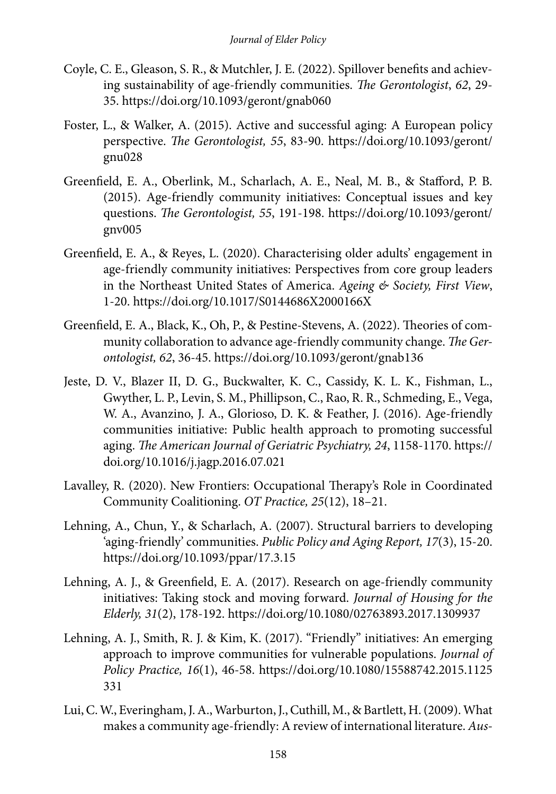- Coyle, C. E., Gleason, S. R., & Mutchler, J. E. (2022). Spillover benefits and achieving sustainability of age-friendly communities. *The Gerontologist*, *62*, 29- 35. https://doi.org/10.1093/geront/gnab060
- Foster, L., & Walker, A. (2015). Active and successful aging: A European policy perspective. *The Gerontologist, 55*, 83-90. https://doi.org/10.1093/geront/ gnu028
- Greenfield, E. A., Oberlink, M., Scharlach, A. E., Neal, M. B., & Stafford, P. B. (2015). Age-friendly community initiatives: Conceptual issues and key questions. *The Gerontologist, 55*, 191-198. https://doi.org/10.1093/geront/ gnv005
- Greenfield, E. A., & Reyes, L. (2020). Characterising older adults' engagement in age-friendly community initiatives: Perspectives from core group leaders in the Northeast United States of America. *Ageing & Society, First View*, 1-20. https://doi.org/10.1017/S0144686X2000166X
- Greenfield, E. A., Black, K., Oh, P., & Pestine-Stevens, A. (2022). Theories of community collaboration to advance age-friendly community change. *The Gerontologist, 62*, 36-45. https://doi.org/10.1093/geront/gnab136
- Jeste, D. V., Blazer II, D. G., Buckwalter, K. C., Cassidy, K. L. K., Fishman, L., Gwyther, L. P., Levin, S. M., Phillipson, C., Rao, R. R., Schmeding, E., Vega, W. A., Avanzino, J. A., Glorioso, D. K. & Feather, J. (2016). Age-friendly communities initiative: Public health approach to promoting successful aging. *The American Journal of Geriatric Psychiatry, 24*, 1158-1170. https:// doi.org/10.1016/j.jagp.2016.07.021
- Lavalley, R. (2020). New Frontiers: Occupational Therapy's Role in Coordinated Community Coalitioning. *OT Practice, 25*(12), 18–21.
- Lehning, A., Chun, Y., & Scharlach, A. (2007). Structural barriers to developing 'aging-friendly' communities. *Public Policy and Aging Report, 17*(3), 15-20. https://doi.org/10.1093/ppar/17.3.15
- Lehning, A. J., & Greenfield, E. A. (2017). Research on age-friendly community initiatives: Taking stock and moving forward. *Journal of Housing for the Elderly, 31*(2), 178-192. https://doi.org/10.1080/02763893.2017.1309937
- Lehning, A. J., Smith, R. J. & Kim, K. (2017). "Friendly" initiatives: An emerging approach to improve communities for vulnerable populations. *Journal of Policy Practice, 16*(1), 46-58. https://doi.org/10.1080/15588742.2015.1125 331
- Lui, C. W., Everingham, J. A., Warburton, J., Cuthill, M., & Bartlett, H. (2009). What makes a community age‐friendly: A review of international literature. *Aus-*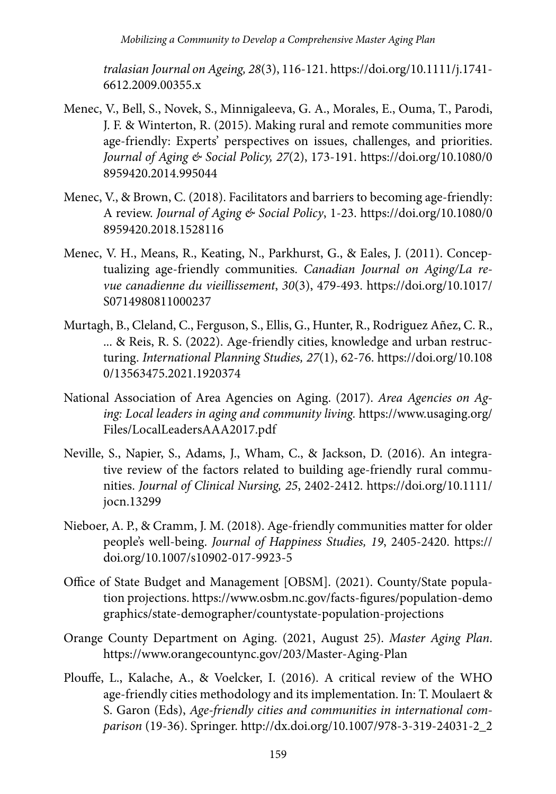*tralasian Journal on Ageing, 28*(3), 116-121. https://doi.org/10.1111/j.1741- 6612.2009.00355.x

- Menec, V., Bell, S., Novek, S., Minnigaleeva, G. A., Morales, E., Ouma, T., Parodi, J. F. & Winterton, R. (2015). Making rural and remote communities more age-friendly: Experts' perspectives on issues, challenges, and priorities. *Journal of Aging & Social Policy, 27*(2), 173-191. https://doi.org/10.1080/0 8959420.2014.995044
- Menec, V., & Brown, C. (2018). Facilitators and barriers to becoming age-friendly: A review. *Journal of Aging & Social Policy*, 1-23. https://doi.org/10.1080/0 8959420.2018.1528116
- Menec, V. H., Means, R., Keating, N., Parkhurst, G., & Eales, J. (2011). Conceptualizing age-friendly communities. *Canadian Journal on Aging/La revue canadienne du vieillissement*, *30*(3), 479-493. https://doi.org/10.1017/ S0714980811000237
- Murtagh, B., Cleland, C., Ferguson, S., Ellis, G., Hunter, R., Rodriguez Añez, C. R., ... & Reis, R. S. (2022). Age-friendly cities, knowledge and urban restructuring. *International Planning Studies, 27*(1), 62-76. https://doi.org/10.108 0/13563475.2021.1920374
- National Association of Area Agencies on Aging. (2017). *Area Agencies on Aging: Local leaders in aging and community living.* https://www.usaging.org/ Files/LocalLeadersAAA2017.pdf
- Neville, S., Napier, S., Adams, J., Wham, C., & Jackson, D. (2016). An integrative review of the factors related to building age‐friendly rural communities. *Journal of Clinical Nursing, 25*, 2402-2412. https://doi.org/10.1111/ jocn.13299
- Nieboer, A. P., & Cramm, J. M. (2018). Age-friendly communities matter for older people's well-being. *Journal of Happiness Studies, 19*, 2405-2420. https:// doi.org/10.1007/s10902-017-9923-5
- Office of State Budget and Management [OBSM]. (2021). County/State population projections. https://www.osbm.nc.gov/facts-figures/population-demo graphics/state-demographer/countystate-population-projections
- Orange County Department on Aging. (2021, August 25). *Master Aging Plan*. https://www.orangecountync.gov/203/Master-Aging-Plan
- Plouffe, L., Kalache, A., & Voelcker, I. (2016). A critical review of the WHO age-friendly cities methodology and its implementation. In: T. Moulaert & S. Garon (Eds), *Age-friendly cities and communities in international comparison* (19-36). Springer. http://dx.doi.org/10.1007/978-3-319-24031-2\_2